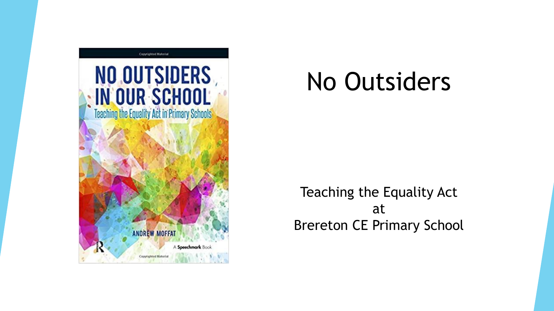

# No Outsiders

Teaching the Equality Act at Brereton CE Primary School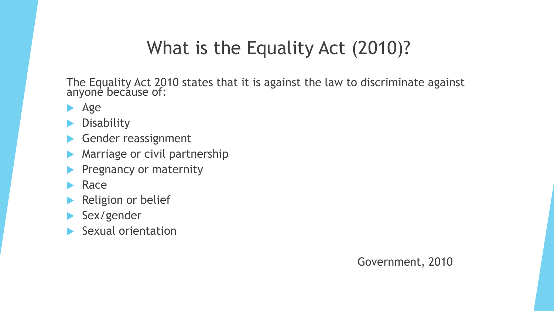#### What is the Equality Act (2010)?

The Equality Act 2010 states that it is against the law to discriminate against anyone because of:

- **Age**
- **Disability**
- Gender reassignment
- Marriage or civil partnership
- Pregnancy or maternity
- Race
- Religion or belief
- Sex/gender
- Sexual orientation

Government, 2010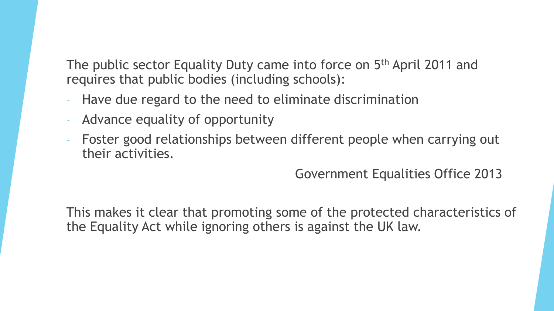The public sector Equality Duty came into force on 5<sup>th</sup> April 2011 and requires that public bodies (including schools):

- Have due regard to the need to eliminate discrimination
- Advance equality of opportunity
- Foster good relationships between different people when carrying out their activities.

Government Equalities Office 2013

This makes it clear that promoting some of the protected characteristics of the Equality Act while ignoring others is against the UK law.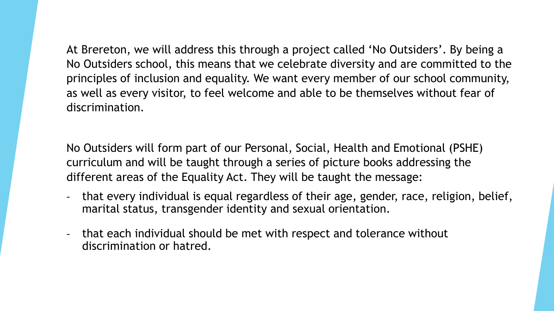At Brereton, we will address this through a project called 'No Outsiders'. By being a No Outsiders school, this means that we celebrate diversity and are committed to the principles of inclusion and equality. We want every member of our school community, as well as every visitor, to feel welcome and able to be themselves without fear of discrimination.

No Outsiders will form part of our Personal, Social, Health and Emotional (PSHE) curriculum and will be taught through a series of picture books addressing the different areas of the Equality Act. They will be taught the message:

- that every individual is equal regardless of their age, gender, race, religion, belief, marital status, transgender identity and sexual orientation.
- that each individual should be met with respect and tolerance without discrimination or hatred.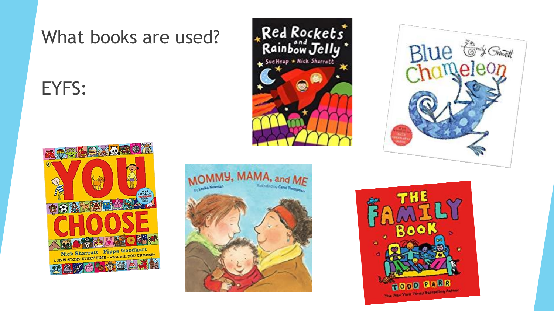### EYFS:









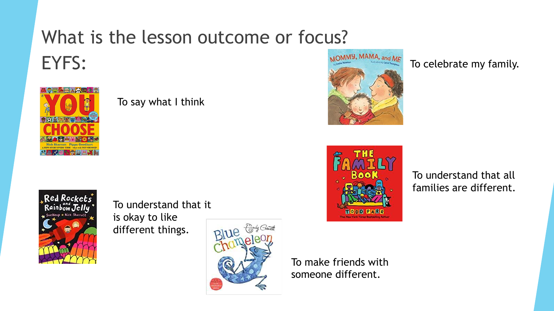## What is the lesson outcome or focus? EYFS:



#### To say what I think



To celebrate my family.



To understand that all families are different.



To understand that it is okay to like different things.



To make friends with someone different.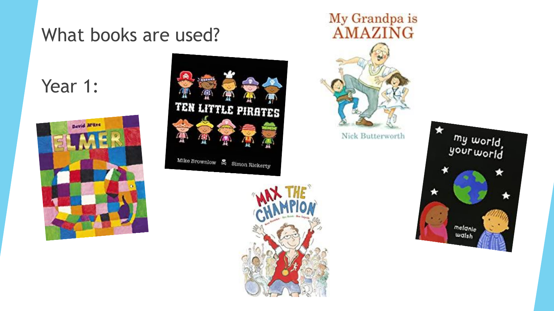#### Year 1:









my world,<br>your world ★ melanie walsh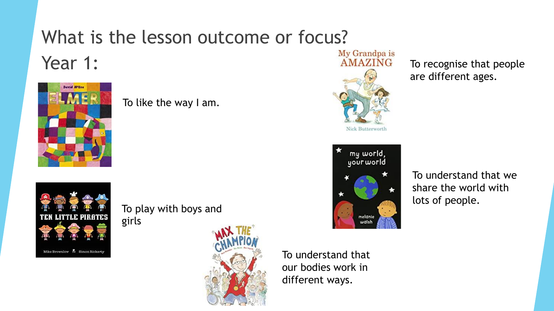### What is the lesson outcome or focus? Year 1:



To like the way I am.



To play with boys and girls



To understand that our bodies work in different ways.



To recognise that people are different ages.



To understand that we share the world with lots of people.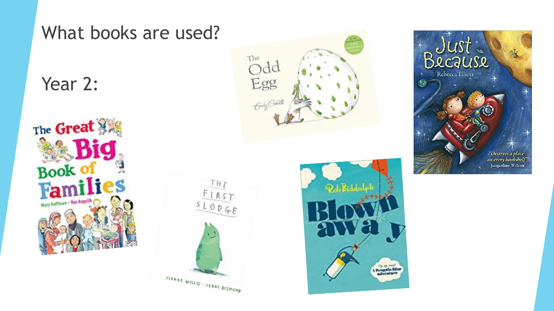



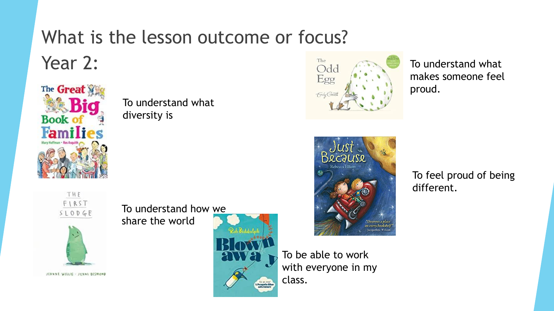# What is the lesson outcome or focus?

Year 2:



To understand what diversity is





The

Odd Egg Guly Group

To understand what makes someone feel proud.



To feel proud of being different.





To understand how we share the world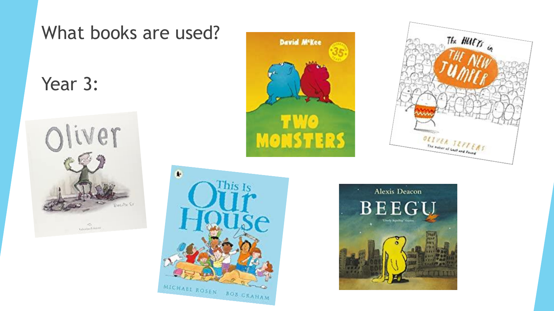



MICHAEL ROSEN BOB GRAHAM



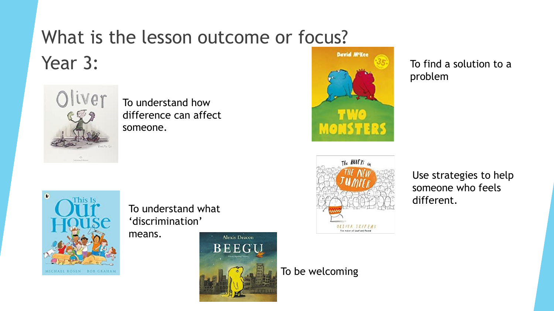### What is the lesson outcome or focus? Year 3:



To understand how difference can affect someone.



To find a solution to a problem



To understand what 'discrimination'

means.



OLIVER SEFTERS The natur of Lost and Favour

The **HUFTs** in

Use strategies to help someone who feels different.

To be welcoming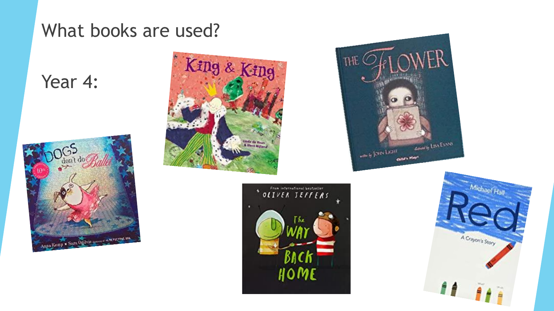#### Year 4:









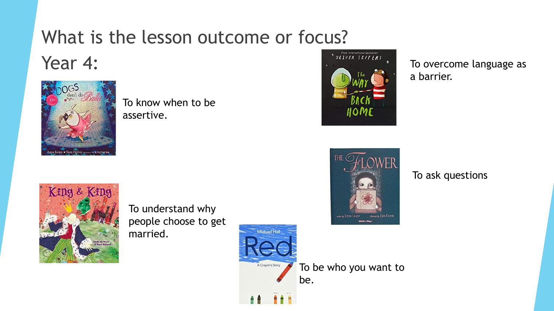## What is the lesson outcome or focus?

## Year 4:



To know when to be assertive.



To overcome language as a barrier.



To ask questions



To understand why people choose to get married.

Michael Hall

A Crayon's Story

To be who you want to be.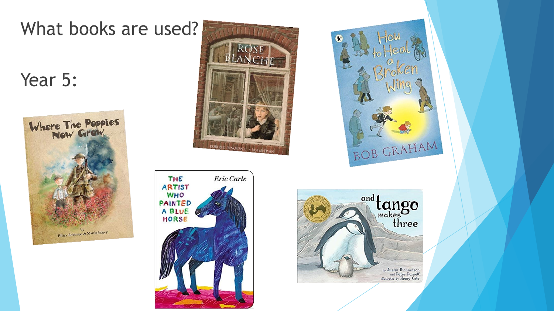#### Year 5:







![](_page_14_Picture_5.jpeg)

![](_page_14_Picture_6.jpeg)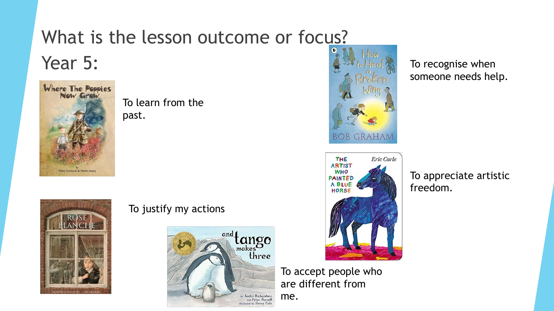## What is the lesson outcome or focus?

## Year 5:

![](_page_15_Picture_2.jpeg)

To learn from the past.

![](_page_15_Picture_4.jpeg)

#### To justify my actions

![](_page_15_Picture_6.jpeg)

![](_page_15_Picture_7.jpeg)

![](_page_15_Picture_8.jpeg)

To recognise when someone needs help.

To appreciate artistic freedom.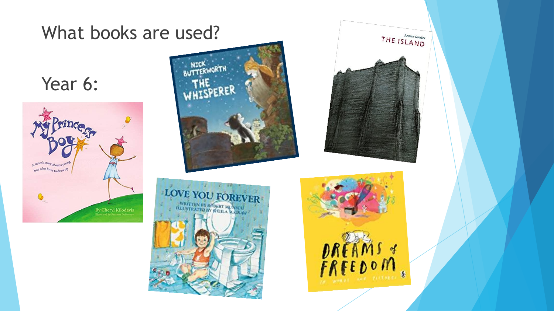![](_page_16_Picture_0.jpeg)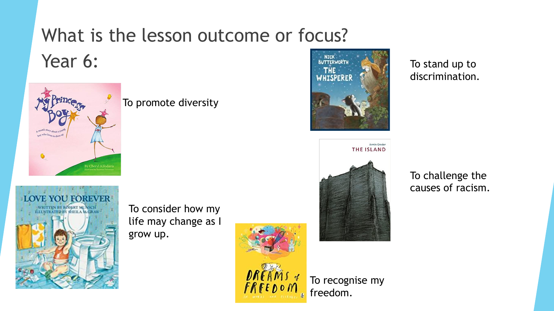## What is the lesson outcome or focus? Year 6:

![](_page_17_Picture_1.jpeg)

#### To promote diversity

![](_page_17_Picture_3.jpeg)

To consider how my life may change as I grow up.

![](_page_17_Picture_5.jpeg)

![](_page_17_Picture_6.jpeg)

![](_page_17_Picture_7.jpeg)

To stand up to discrimination.

To challenge the causes of racism.